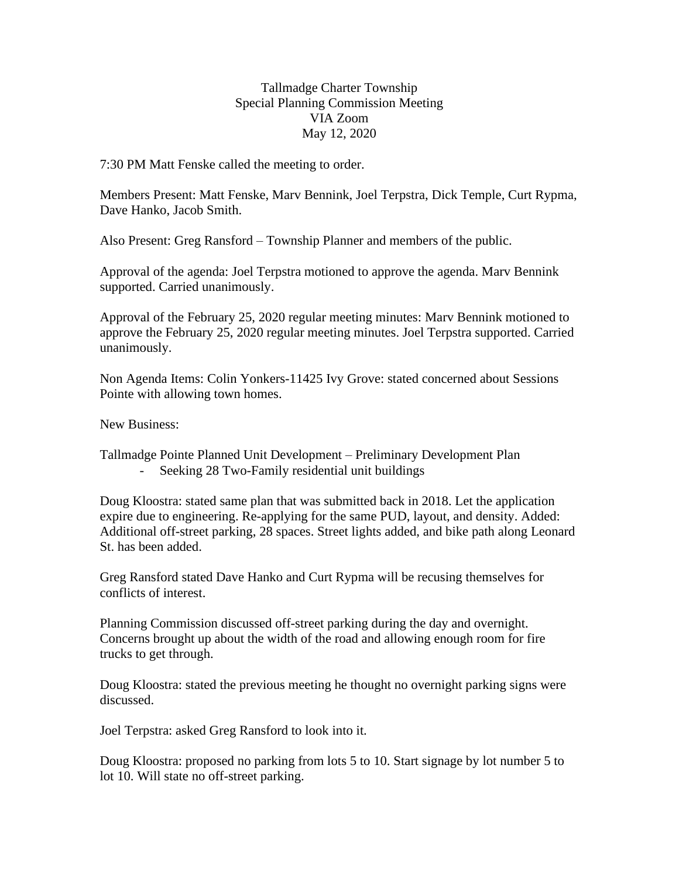Tallmadge Charter Township Special Planning Commission Meeting VIA Zoom May 12, 2020

7:30 PM Matt Fenske called the meeting to order.

Members Present: Matt Fenske, Marv Bennink, Joel Terpstra, Dick Temple, Curt Rypma, Dave Hanko, Jacob Smith.

Also Present: Greg Ransford – Township Planner and members of the public.

Approval of the agenda: Joel Terpstra motioned to approve the agenda. Marv Bennink supported. Carried unanimously.

Approval of the February 25, 2020 regular meeting minutes: Marv Bennink motioned to approve the February 25, 2020 regular meeting minutes. Joel Terpstra supported. Carried unanimously.

Non Agenda Items: Colin Yonkers-11425 Ivy Grove: stated concerned about Sessions Pointe with allowing town homes.

New Business:

Tallmadge Pointe Planned Unit Development – Preliminary Development Plan - Seeking 28 Two-Family residential unit buildings

Doug Kloostra: stated same plan that was submitted back in 2018. Let the application expire due to engineering. Re-applying for the same PUD, layout, and density. Added: Additional off-street parking, 28 spaces. Street lights added, and bike path along Leonard St. has been added.

Greg Ransford stated Dave Hanko and Curt Rypma will be recusing themselves for conflicts of interest.

Planning Commission discussed off-street parking during the day and overnight. Concerns brought up about the width of the road and allowing enough room for fire trucks to get through.

Doug Kloostra: stated the previous meeting he thought no overnight parking signs were discussed.

Joel Terpstra: asked Greg Ransford to look into it.

Doug Kloostra: proposed no parking from lots 5 to 10. Start signage by lot number 5 to lot 10. Will state no off-street parking.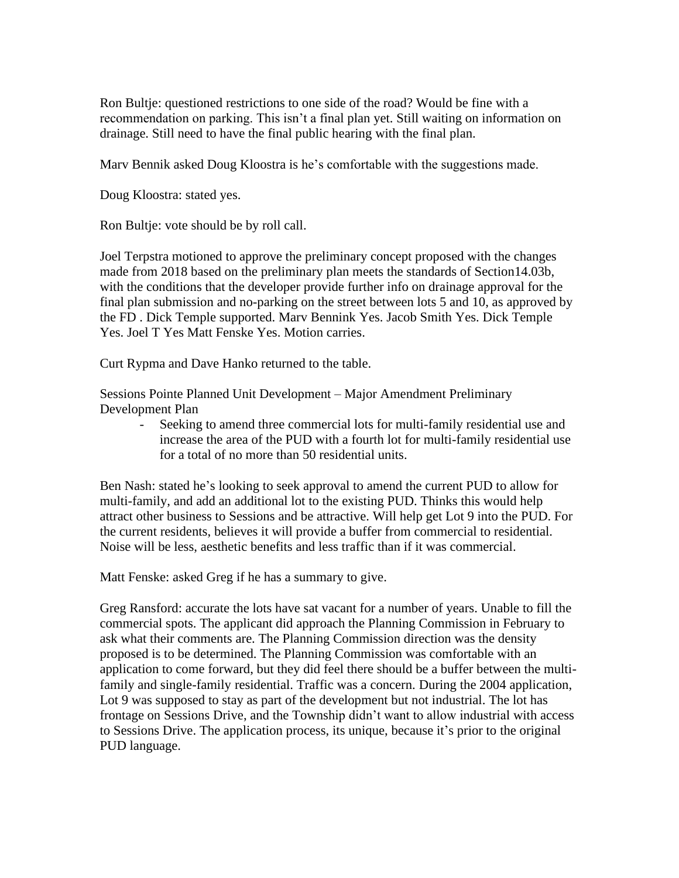Ron Bultje: questioned restrictions to one side of the road? Would be fine with a recommendation on parking. This isn't a final plan yet. Still waiting on information on drainage. Still need to have the final public hearing with the final plan.

Marv Bennik asked Doug Kloostra is he's comfortable with the suggestions made.

Doug Kloostra: stated yes.

Ron Bultje: vote should be by roll call.

Joel Terpstra motioned to approve the preliminary concept proposed with the changes made from 2018 based on the preliminary plan meets the standards of Section14.03b, with the conditions that the developer provide further info on drainage approval for the final plan submission and no-parking on the street between lots 5 and 10, as approved by the FD . Dick Temple supported. Marv Bennink Yes. Jacob Smith Yes. Dick Temple Yes. Joel T Yes Matt Fenske Yes. Motion carries.

Curt Rypma and Dave Hanko returned to the table.

Sessions Pointe Planned Unit Development – Major Amendment Preliminary Development Plan

- Seeking to amend three commercial lots for multi-family residential use and increase the area of the PUD with a fourth lot for multi-family residential use for a total of no more than 50 residential units.

Ben Nash: stated he's looking to seek approval to amend the current PUD to allow for multi-family, and add an additional lot to the existing PUD. Thinks this would help attract other business to Sessions and be attractive. Will help get Lot 9 into the PUD. For the current residents, believes it will provide a buffer from commercial to residential. Noise will be less, aesthetic benefits and less traffic than if it was commercial.

Matt Fenske: asked Greg if he has a summary to give.

Greg Ransford: accurate the lots have sat vacant for a number of years. Unable to fill the commercial spots. The applicant did approach the Planning Commission in February to ask what their comments are. The Planning Commission direction was the density proposed is to be determined. The Planning Commission was comfortable with an application to come forward, but they did feel there should be a buffer between the multifamily and single-family residential. Traffic was a concern. During the 2004 application, Lot 9 was supposed to stay as part of the development but not industrial. The lot has frontage on Sessions Drive, and the Township didn't want to allow industrial with access to Sessions Drive. The application process, its unique, because it's prior to the original PUD language.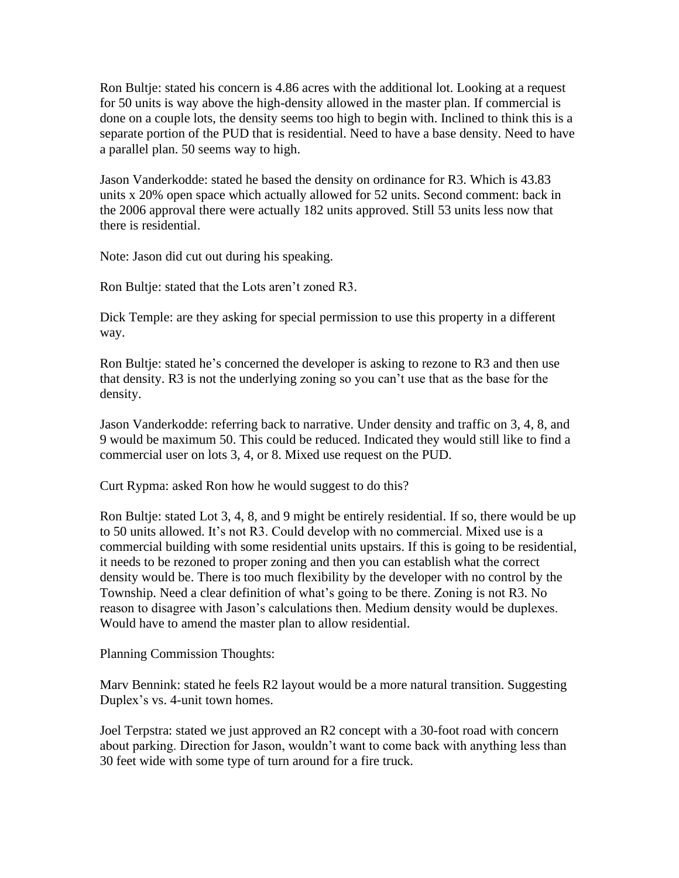Ron Bultje: stated his concern is 4.86 acres with the additional lot. Looking at a request for 50 units is way above the high-density allowed in the master plan. If commercial is done on a couple lots, the density seems too high to begin with. Inclined to think this is a separate portion of the PUD that is residential. Need to have a base density. Need to have a parallel plan. 50 seems way to high.

Jason Vanderkodde: stated he based the density on ordinance for R3. Which is 43.83 units x 20% open space which actually allowed for 52 units. Second comment: back in the 2006 approval there were actually 182 units approved. Still 53 units less now that there is residential.

Note: Jason did cut out during his speaking.

Ron Bultje: stated that the Lots aren't zoned R3.

Dick Temple: are they asking for special permission to use this property in a different way.

Ron Bultje: stated he's concerned the developer is asking to rezone to R3 and then use that density. R3 is not the underlying zoning so you can't use that as the base for the density.

Jason Vanderkodde: referring back to narrative. Under density and traffic on 3, 4, 8, and 9 would be maximum 50. This could be reduced. Indicated they would still like to find a commercial user on lots 3, 4, or 8. Mixed use request on the PUD.

Curt Rypma: asked Ron how he would suggest to do this?

Ron Bultje: stated Lot 3, 4, 8, and 9 might be entirely residential. If so, there would be up to 50 units allowed. It's not R3. Could develop with no commercial. Mixed use is a commercial building with some residential units upstairs. If this is going to be residential, it needs to be rezoned to proper zoning and then you can establish what the correct density would be. There is too much flexibility by the developer with no control by the Township. Need a clear definition of what's going to be there. Zoning is not R3. No reason to disagree with Jason's calculations then. Medium density would be duplexes. Would have to amend the master plan to allow residential.

Planning Commission Thoughts:

Marv Bennink: stated he feels R2 layout would be a more natural transition. Suggesting Duplex's vs. 4-unit town homes.

Joel Terpstra: stated we just approved an R2 concept with a 30-foot road with concern about parking. Direction for Jason, wouldn't want to come back with anything less than 30 feet wide with some type of turn around for a fire truck.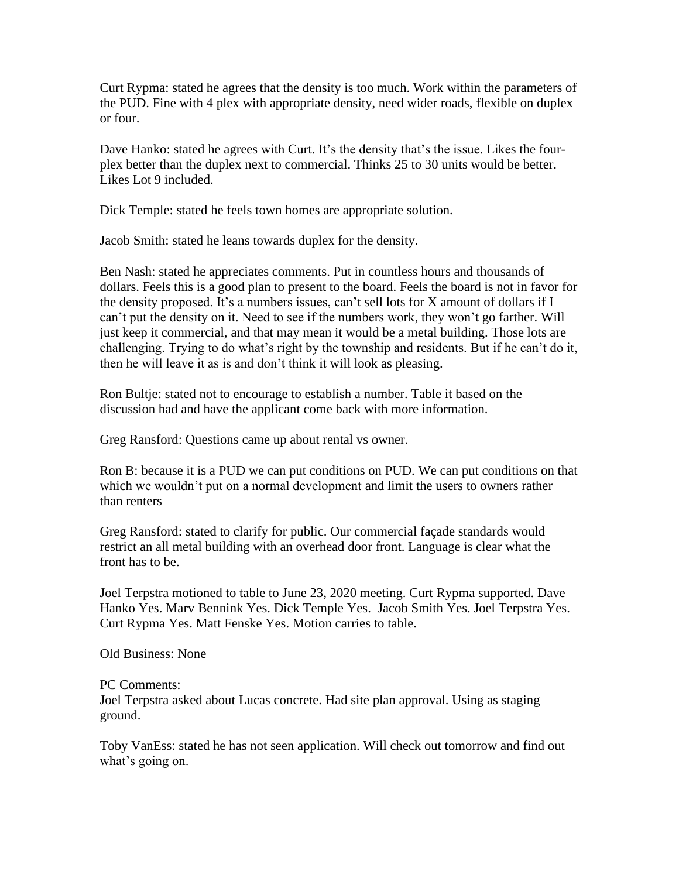Curt Rypma: stated he agrees that the density is too much. Work within the parameters of the PUD. Fine with 4 plex with appropriate density, need wider roads, flexible on duplex or four.

Dave Hanko: stated he agrees with Curt. It's the density that's the issue. Likes the fourplex better than the duplex next to commercial. Thinks 25 to 30 units would be better. Likes Lot 9 included.

Dick Temple: stated he feels town homes are appropriate solution.

Jacob Smith: stated he leans towards duplex for the density.

Ben Nash: stated he appreciates comments. Put in countless hours and thousands of dollars. Feels this is a good plan to present to the board. Feels the board is not in favor for the density proposed. It's a numbers issues, can't sell lots for X amount of dollars if I can't put the density on it. Need to see if the numbers work, they won't go farther. Will just keep it commercial, and that may mean it would be a metal building. Those lots are challenging. Trying to do what's right by the township and residents. But if he can't do it, then he will leave it as is and don't think it will look as pleasing.

Ron Bultje: stated not to encourage to establish a number. Table it based on the discussion had and have the applicant come back with more information.

Greg Ransford: Questions came up about rental vs owner.

Ron B: because it is a PUD we can put conditions on PUD. We can put conditions on that which we wouldn't put on a normal development and limit the users to owners rather than renters

Greg Ransford: stated to clarify for public. Our commercial façade standards would restrict an all metal building with an overhead door front. Language is clear what the front has to be.

Joel Terpstra motioned to table to June 23, 2020 meeting. Curt Rypma supported. Dave Hanko Yes. Marv Bennink Yes. Dick Temple Yes. Jacob Smith Yes. Joel Terpstra Yes. Curt Rypma Yes. Matt Fenske Yes. Motion carries to table.

Old Business: None

PC Comments:

Joel Terpstra asked about Lucas concrete. Had site plan approval. Using as staging ground.

Toby VanEss: stated he has not seen application. Will check out tomorrow and find out what's going on.